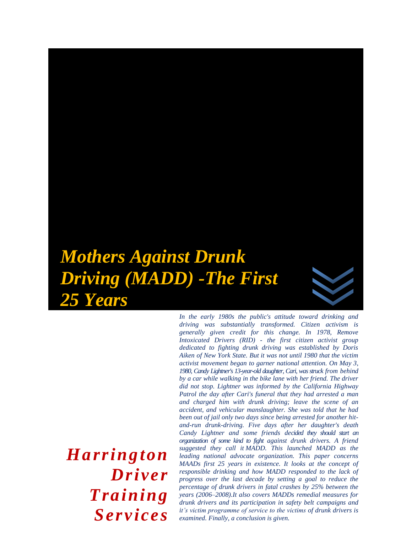# *Mothers Against Drunk Driving (MADD) -The First 25 Years*

*Harrington Driver Training Services* 

*In the early 1980s the public's attitude toward drinking and driving was substantially transformed. Citizen activism is generally given credit for this change. In 1978, Remove Intoxicated Drivers (RID) - the first citizen activist group dedicated to fighting drunk driving was established by Doris Aiken of New York State. But it was not until 1980 that the victim activist movement began to garner national attention. On May 3, 1980, Candy Lightner's 13-year-old daughter, Cari, was struck from behind by a car while walking in the bike lane with her friend. The driver did not stop. Lightner was informed by the California Highway Patrol the day after Cari's funeral that they had arrested a man and charged him with drunk driving; leave the scene of an accident, and vehicular manslaughter. She was told that he had been out of jail only two days since being arrested for another hitand-run drunk-driving. Five days after her daughter's death Candy Lightner and some friends decided they should start an organization of some kind to fight against drunk drivers. A friend suggested they call it MADD. This launched MADD as the leading national advocate organization. This paper concerns MAADs first 25 years in existence. It looks at the concept of responsible drinking and how MADD responded to the lack of progress over the last decade by setting a goal to reduce the percentage of drunk drivers in fatal crashes by 25% between the years (2006–2008).It also covers MADDs remedial measures for drunk drivers and its participation in safety belt campaigns and it's victim programme of service to the victims of drunk drivers is examined. Finally, a conclusion is given.*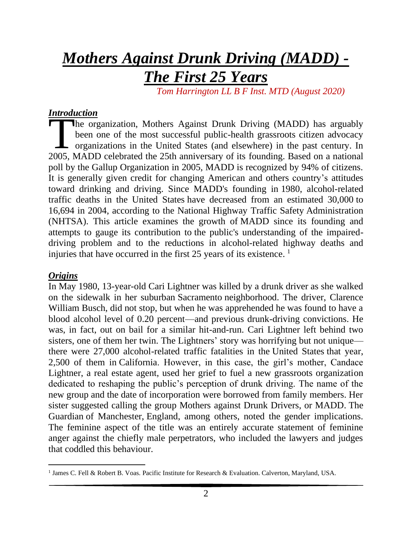# *Mothers Against Drunk Driving (MADD) -*

# *The First 25 Years*

 *Tom Harrington LL B F Inst. MTD (August 2020)*

#### *Introduction*

he organization, Mothers Against Drunk Driving (MADD) has arguably been one of the most successful public-health grassroots citizen advocacy  $\Box$  organizations in the United States (and elsewhere) in the past century. In The organization, Mothers Against Drunk Driving (MADD) has arguably been one of the most successful public-health grassroots citizen advocacy organizations in the United States (and elsewhere) in the past century. In 2005, poll by the Gallup Organization in 2005, MADD is recognized by 94% of citizens. It is generally given credit for changing American and others country's attitudes toward drinking and driving. Since MADD's founding in 1980, alcohol-related traffic deaths in the United States have decreased from an estimated 30,000 to 16,694 in 2004, according to the National Highway Traffic Safety Administration (NHTSA). This article examines the growth of MADD since its founding and attempts to gauge its contribution to the public's understanding of the impaireddriving problem and to the reductions in alcohol-related highway deaths and injuries that have occurred in the first 25 years of its existence. 1

#### *Origins*

In May 1980, 13-year-old Cari Lightner was killed by a drunk driver as she walked on the sidewalk in her suburban [Sacramento](https://www.encyclopedia.com/places/united-states-and-canada/us-political-geography/sacramento) neighborhood. The driver, Clarence William Busch, did not stop, but when he was apprehended he was found to have a blood alcohol level of 0.20 percent—and previous drunk-driving convictions. He was, in fact, out on bail for a similar hit-and-run. Cari Lightner left behind two sisters, one of them her twin. The Lightners' story was horrifying but not unique there were 27,000 alcohol-related traffic fatalities in the [United States](https://www.encyclopedia.com/places/united-states-and-canada/us-political-geography/united-states) that year, 2,500 of them in [California.](https://www.encyclopedia.com/places/united-states-and-canada/us-political-geography/california) However, in this case, the girl's mother, Candace Lightner, a real estate agent, used her grief to fuel a new grassroots organization dedicated to reshaping the public's perception of drunk driving. The name of the new group and the date of incorporation were borrowed from family members. Her sister suggested calling the group Mothers against Drunk Drivers, or MADD. The Guardian of Manchester, [England,](https://www.encyclopedia.com/places/britain-ireland-france-and-low-countries/british-and-irish-political-geography/england) among others, noted the gender implications. The feminine aspect of the title was an entirely accurate statement of feminine anger against the chiefly male perpetrators, who included the lawyers and judges that coddled this behaviour.

<sup>&</sup>lt;sup>1</sup> James C. Fell & Robert B. Voas. Pacific Institute for Research & Evaluation. Calverton, Maryland, USA.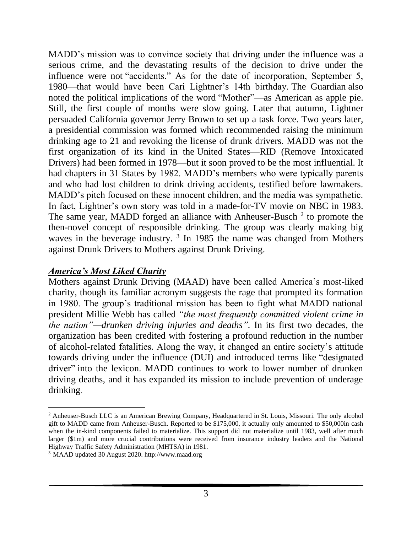MADD's mission was to convince society that driving under the influence was a serious crime, and the devastating results of the decision to drive under the influence were not "accidents." As for the date of incorporation, September 5, 1980—that would have been Cari Lightner's 14th birthday. The Guardian also noted the political implications of the word "Mother"—as American as apple pie. Still, the first couple of months were slow going. Later that autumn, Lightner persuaded California governor [Jerry Brown](https://www.encyclopedia.com/people/history/us-history-biographies/jerry-brown) to set up a task force. Two years later, a presidential commission was formed which recommended raising the minimum drinking age to 21 and revoking the license of drunk drivers. MADD was not the first organization of its kind in the [United States—](https://www.encyclopedia.com/places/united-states-and-canada/us-political-geography/united-states)RID (Remove Intoxicated Drivers) had been formed in 1978—but it soon proved to be the most influential. It had chapters in 31 States by 1982. MADD's members who were typically parents and who had lost children to drink driving accidents, testified before lawmakers. MADD's pitch focused on these innocent children, and the media was sympathetic. In fact, Lightner's own story was told in a made-for-TV movie on NBC in 1983. The same year, MADD forged an alliance with Anheuser-Busch<sup>2</sup> to promote the then-novel concept of responsible drinking. The group was clearly making big waves in the beverage industry.  $3 \text{ In } 1985$  the name was changed from Mothers against Drunk Drivers to Mothers against Drunk Driving.

#### *America's Most Liked Charity*

Mothers against Drunk Driving (MAAD) have been called America's most-liked charity, though its familiar acronym suggests the rage that prompted its formation in 1980. The group's traditional mission has been to fight what MADD national president Millie Webb has called *"the most frequently committed violent crime in the nation"—drunken driving injuries and deaths".* In its first two decades, the organization has been credited with fostering a profound reduction in the number of alcohol-related fatalities. Along the way, it changed an entire society's attitude towards driving under the influence (DUI) and introduced terms like "designated driver" into the lexicon. MADD continues to work to lower number of drunken driving deaths, and it has expanded its mission to include prevention of underage drinking.

<sup>&</sup>lt;sup>2</sup> Anheuser-Busch LLC is an American Brewing Company, Headquartered in St. Louis, Missouri. The only alcohol gift to MADD came from Anheuser-Busch. Reported to be \$175,000, it actually only amounted to \$50,000in cash when the in-kind components failed to materialize. This support did not materialize until 1983, well after much larger (\$1m) and more crucial contributions were received from insurance industry leaders and the National Highway Traffic Safety Administration (MHTSA) in 1981.

<sup>3</sup> MAAD updated 30 August 2020. http://www.maad.org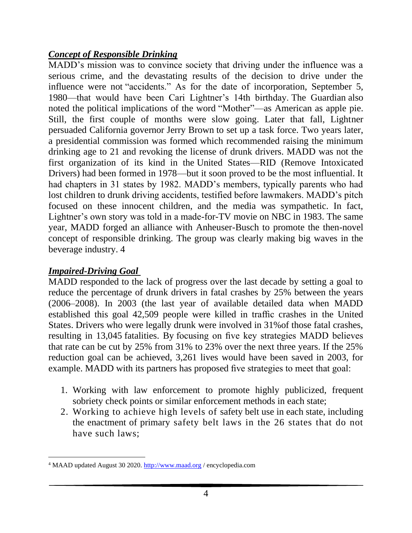# *Concept of Responsible Drinking*

MADD's mission was to convince society that driving under the influence was a serious crime, and the devastating results of the decision to drive under the influence were not "accidents." As for the date of incorporation, September 5, 1980—that would have been Cari Lightner's 14th birthday. The Guardian also noted the political implications of the word "Mother"—as American as apple pie. Still, the first couple of months were slow going. Later that fall, Lightner persuaded California governor [Jerry Brown](https://www.encyclopedia.com/people/history/us-history-biographies/jerry-brown) to set up a task force. Two years later, a presidential commission was formed which recommended raising the minimum drinking age to 21 and revoking the license of drunk drivers. MADD was not the first organization of its kind in the [United States—](https://www.encyclopedia.com/places/united-states-and-canada/us-political-geography/united-states)RID (Remove Intoxicated Drivers) had been formed in 1978—but it soon proved to be the most influential. It had chapters in 31 states by 1982. MADD's members, typically parents who had lost children to drunk driving accidents, testified before lawmakers. MADD's pitch focused on these innocent children, and the media was sympathetic. In fact, Lightner's own story was told in a made-for-TV movie on NBC in 1983. The same year, MADD forged an alliance with Anheuser-Busch to promote the then-novel concept of responsible drinking. The group was clearly making big waves in the beverage industry. 4

# *Impaired-Driving Goal*

MADD responded to the lack of progress over the last decade by setting a goal to reduce the percentage of drunk drivers in fatal crashes by 25% between the years (2006–2008). In 2003 (the last year of available detailed data when MADD established this goal 42,509 people were killed in traffic crashes in the United States. Drivers who were legally drunk were involved in 31%of those fatal crashes, resulting in 13,045 fatalities. By focusing on five key strategies MADD believes that rate can be cut by 25% from 31% to 23% over the next three years. If the 25% reduction goal can be achieved, 3,261 lives would have been saved in 2003, for example. MADD with its partners has proposed five strategies to meet that goal:

- 1. Working with law enforcement to promote highly publicized, frequent sobriety check points or similar enforcement methods in each state;
- 2. Working to achieve high levels of safety belt use in each state, including the enactment of primary safety belt laws in the 26 states that do not have such laws;

<sup>4</sup> MAAD updated August 30 2020. [http://www.maad.org](http://www.maad.org/) / encyclopedia.com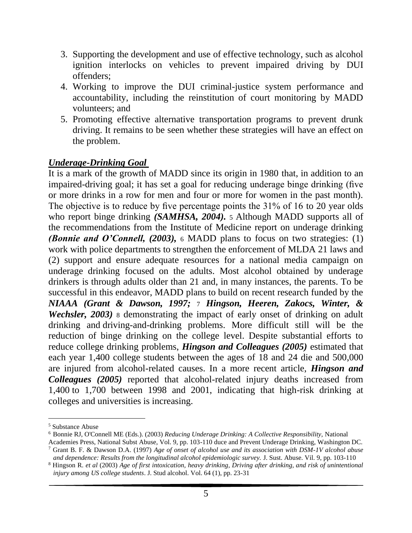- 3. Supporting the development and use of effective technology, such as alcohol ignition interlocks on vehicles to prevent impaired driving by DUI offenders;
- 4. Working to improve the DUI criminal-justice system performance and accountability, including the reinstitution of court monitoring by MADD volunteers; and
- 5. Promoting effective alternative transportation programs to prevent drunk driving. It remains to be seen whether these strategies will have an effect on the problem.

### *Underage-Drinking Goal*

It is a mark of the growth of MADD since its origin in 1980 that, in addition to an impaired-driving goal; it has set a goal for reducing underage binge drinking (five or more drinks in a row for men and four or more for women in the past month). The objective is to reduce by five percentage points the 31% of 16 to 20 year olds who report binge drinking *(SAMHSA, 2004)*. 5 Although MADD supports all of the recommendations from the Institute of Medicine report on underage drinking *(Bonnie and O'Connell, (2003),* 6 MADD plans to focus on two strategies: (1) work with police departments to strengthen the enforcement of MLDA 21 laws and (2) support and ensure adequate resources for a national media campaign on underage drinking focused on the adults. Most alcohol obtained by underage drinkers is through adults older than 21 and, in many instances, the parents. To be successful in this endeavor, MADD plans to build on recent research funded by the *NIAAA (Grant & Dawson, 1997;* 7 *[Hingson, Heeren, Zakocs, Winter, &](https://www.researchgate.net/publication/10882205_Age_of_first_intoxication_heavy_drinking_driving_after_drinking_and_risk_of_unintentional_injury_among_US_college_students?el=1_x_8&enrichId=rgreq-80f2612c966b0a0255780af2192a93ff-XXX&enrichSource=Y292ZXJQYWdlOzY4MDQ3MTY7QVM6OTcyNzY2OTc1MTM5ODlAMTQwMDIwMzk4MDM3Mw==)  Wechsler, 2003*) 8 demonstrating the impact of early onset of drinking on adult drinking and driving-and-drinking problems. More difficult still will be the reduction of binge drinking on the college level. Despite substantial efforts to reduce college drinking problems, *Hingson and Colleagues (2005)* estimated that each year 1,400 college students between the ages of 18 and 24 die and 500,000 are injured from alcohol-related causes. In a more recent article, *Hingson and Colleagues (2005)* reported that alcohol-related injury deaths increased from 1,400 to 1,700 between 1998 and 2001, indicating that high-risk drinking at colleges and universities is increasing.

<sup>5</sup> Substance Abuse

<sup>6</sup> Bonnie RJ, O'Connell ME (Eds.). (2003) *Reducing Underage Drinking: A Collective Responsibility,* National Academies Press, National Subst Abuse, Vol. 9, pp. 103-110 duce and Prevent Underage Drinking, Washington DC.

<sup>7</sup> Grant B. F. & Dawson D.A. (1997) *Age of onset of alcohol use and its association with DSM-1V alcohol abuse and dependence: Results from the longitudinal alcohol epidemiologic survey.* J. Sust. Abuse. Vil. 9, pp. 103-110

<sup>8</sup> Hingson R. *et al* (2003) *Age of first intoxication, heavy drinking, Driving after drinking, and risk of unintentional injury among US college students*. J. Stud alcohol. Vol. 64 (1), pp. 23-31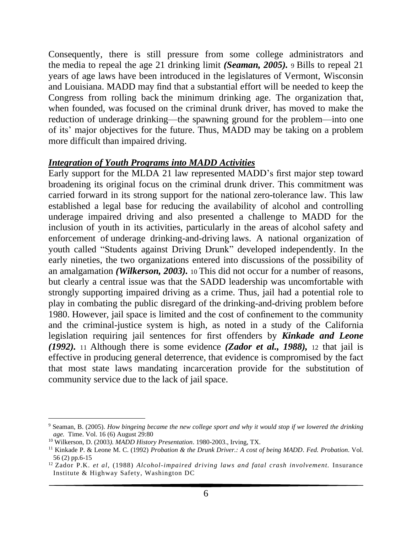Consequently, there is still pressure from some college administrators and the media to repeal the age 21 drinking limit *(Seaman, 2005).* 9 Bills to repeal 21 years of age laws have been introduced in the legislatures of Vermont, Wisconsin and Louisiana. MADD may find that a substantial effort will be needed to keep the Congress from rolling back the minimum drinking age. The organization that, when founded, was focused on the criminal drunk driver, has moved to make the reduction of underage drinking—the spawning ground for the problem—into one of its' major objectives for the future. Thus, MADD may be taking on a problem more difficult than impaired driving.

#### *Integration of Youth Programs into MADD Activities*

Early support for the MLDA 21 law represented MADD's first major step toward broadening its original focus on the criminal drunk driver. This commitment was carried forward in its strong support for the national zero-tolerance law. This law established a legal base for reducing the availability of alcohol and controlling underage impaired driving and also presented a challenge to MADD for the inclusion of youth in its activities, particularly in the areas of alcohol safety and enforcement of underage drinking-and-driving laws. A national organization of youth called "Students against Driving Drunk" developed independently. In the early nineties, the two organizations entered into discussions of the possibility of an amalgamation *(Wilkerson, 2003).* 10 This did not occur for a number of reasons, but clearly a central issue was that the SADD leadership was uncomfortable with strongly supporting impaired driving as a crime. Thus, jail had a potential role to play in combating the public disregard of the drinking-and-driving problem before 1980. However, jail space is limited and the cost of confinement to the community and the criminal-justice system is high, as noted in a study of the California legislation requiring jail sentences for first offenders by *Kinkade and Leone (1992).* 11 Although there is some evidence *(Zador et al., 1988),* 12 that jail is effective in producing general deterrence, that evidence is compromised by the fact that most state laws mandating incarceration provide for the substitution of community service due to the lack of jail space.

<sup>9</sup> Seaman, B. (2005). *How bingeing became the new college sport and why it would stop if we lowered the drinking age.* Time. Vol. 16 (6) August 29:80

<sup>10</sup> Wilkerson, D. (2003*). MADD History Presentation*. 1980-2003., Irving, TX.

<sup>11</sup> Kinkade P. & Leone M. C. (1992) *Probation & the Drunk Driver.: A cost of being MADD*. *Fed. Probation*. Vol. 56 (2) pp.6-15

<sup>12</sup> Zador P.K. *et al,* (1988) *Alcohol-impaired driving laws and fatal crash involvement.* Insurance Institute & Highway Safety, Washington DC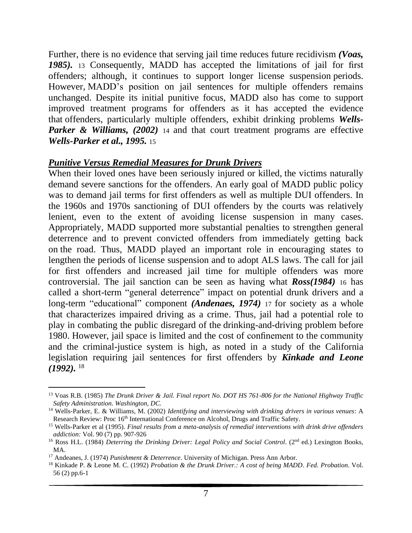Further, there is no evidence that serving jail time reduces future recidivism *(Voas, 1985).* 13 Consequently, MADD has accepted the limitations of jail for first offenders; although, it continues to support longer license suspension periods. However, MADD's position on jail sentences for multiple offenders remains unchanged. Despite its initial punitive focus, MADD also has come to support improved treatment programs for offenders as it has accepted the evidence that offenders, particularly multiple offenders, exhibit drinking problems *[Wells-](https://www.researchgate.net/publication/251743739_Identifying_and_Intervening_With_Drinking_Drivers_in_Various_Venues_A_Research_Review?el=1_x_8&enrichId=rgreq-80f2612c966b0a0255780af2192a93ff-XXX&enrichSource=Y292ZXJQYWdlOzY4MDQ3MTY7QVM6OTcyNzY2OTc1MTM5ODlAMTQwMDIwMzk4MDM3Mw==)[Parker & Williams, \(2002\)](https://www.researchgate.net/publication/251743739_Identifying_and_Intervening_With_Drinking_Drivers_in_Various_Venues_A_Research_Review?el=1_x_8&enrichId=rgreq-80f2612c966b0a0255780af2192a93ff-XXX&enrichSource=Y292ZXJQYWdlOzY4MDQ3MTY7QVM6OTcyNzY2OTc1MTM5ODlAMTQwMDIwMzk4MDM3Mw==)* 14 and that court treatment programs are effective *[Wells-Parker et al.,](https://www.researchgate.net/publication/15536471_Final_results_from_a_meta-analysis_of_remedial_interventions_with_drinkdrive_offenders?el=1_x_8&enrichId=rgreq-80f2612c966b0a0255780af2192a93ff-XXX&enrichSource=Y292ZXJQYWdlOzY4MDQ3MTY7QVM6OTcyNzY2OTc1MTM5ODlAMTQwMDIwMzk4MDM3Mw==) [1995](https://www.researchgate.net/publication/15536471_Final_results_from_a_meta-analysis_of_remedial_interventions_with_drinkdrive_offenders?el=1_x_8&enrichId=rgreq-80f2612c966b0a0255780af2192a93ff-XXX&enrichSource=Y292ZXJQYWdlOzY4MDQ3MTY7QVM6OTcyNzY2OTc1MTM5ODlAMTQwMDIwMzk4MDM3Mw==).* 15

#### *Punitive Versus Remedial Measures for Drunk Drivers*

When their loved ones have been seriously injured or killed, the victims naturally demand severe sanctions for the offenders. An early goal of MADD public policy was to demand jail terms for first offenders as well as multiple DUI offenders. In the 1960s and 1970s sanctioning of DUI offenders by the courts was relatively lenient, even to the extent of avoiding license suspension in many cases. Appropriately, MADD supported more substantial penalties to strengthen general deterrence and to prevent convicted offenders from immediately getting back on the road. Thus, MADD played an important role in encouraging states to lengthen the periods of license suspension and to adopt ALS laws. The call for jail for first offenders and increased jail time for multiple offenders was more controversial. The jail sanction can be seen as having what *Ross(1984)* 16 has called a short-term "general deterrence" impact on potential drunk drivers and a long-term "educational" component *(Andenaes, 1974)* 17 for society as a whole that characterizes impaired driving as a crime. Thus, jail had a potential role to play in combating the public disregard of the drinking-and-driving problem before 1980. However, jail space is limited and the cost of confinement to the community and the criminal-justice system is high, as noted in a study of the California legislation requiring jail sentences for first offenders by *Kinkade and Leone (1992).* <sup>18</sup>

<sup>13</sup> Voas R.B. (1985) *The Drunk Driver & Jail. Final report No. DOT HS 761-806 for the National Highway Traffic Safety Administration. Washington, DC.*

<sup>14</sup> Wells-Parker, E. & Williams, M. (2002) *Identifying and interviewing with drinking drivers in various venues*: A Research Review: Proc 16<sup>th</sup> International Conference on Alcohol, Drugs and Traffic Safety.

<sup>15</sup> Wells-Parker et al (1995). *Final results from a meta-analysis of remedial interventions with drink drive offenders addiction:* Vol. 90 (7) pp. 907-926

<sup>&</sup>lt;sup>16</sup> Ross H.L. (1984) *Deterring the Drinking Driver: Legal Policy and Social Control.* (2<sup>nd</sup> ed.) Lexington Books, MA.

<sup>17</sup> Andeanes, J. (1974) *Punishment & Deterrence*. University of Michigan. Press Ann Arbor.

<sup>18</sup> Kinkade P. & Leone M. C. (1992) *Probation & the Drunk Driver.: A cost of being MADD*. *Fed. Probation*. Vol. 56 (2) pp.6-1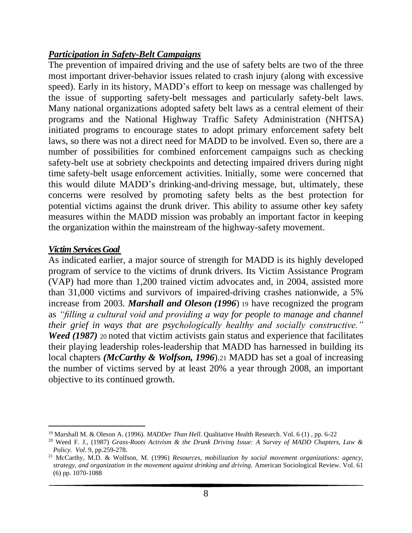## *Participation in Safety-Belt Campaigns*

The prevention of impaired driving and the use of safety belts are two of the three most important driver-behavior issues related to crash injury (along with excessive speed). Early in its history, MADD's effort to keep on message was challenged by the issue of supporting safety-belt messages and particularly safety-belt laws. Many national organizations adopted safety belt laws as a central element of their programs and the National Highway Traffic Safety Administration (NHTSA) initiated programs to encourage states to adopt primary enforcement safety belt laws, so there was not a direct need for MADD to be involved. Even so, there are a number of possibilities for combined enforcement campaigns such as checking safety-belt use at sobriety checkpoints and detecting impaired drivers during night time safety-belt usage enforcement activities. Initially, some were concerned that this would dilute MADD's drinking-and-driving message, but, ultimately, these concerns were resolved by promoting safety belts as the best protection for potential victims against the drunk driver. This ability to assume other key safety measures within the MADD mission was probably an important factor in keeping the organization within the mainstream of the highway-safety movement.

#### *VictimServicesGoal*

As indicated earlier, a major source of strength for MADD is its highly developed program of service to the victims of drunk drivers. Its Victim Assistance Program (VAP) had more than 1,200 trained victim advocates and, in 2004, assisted more than 31,000 victims and survivors of impaired-driving crashes nationwide, a 5% increase from 2003*. Marshall and Oleson (1996*) 19 have recognized the program as *"filling a cultural void and providing a way for people to manage and channel their grief in ways that are psychologically healthy and socially constructive." Weed (1987)* 20 noted that victim activists gain status and experience that facilitates their playing leadership roles-leadership that MADD has harnessed in building its local chapters *(McCarthy & Wolfson, 1996*).21 MADD has set a goal of increasing the number of victims served by at least 20% a year through 2008, an important objective to its continued growth.

<sup>19</sup> Marshall M. & Oleson A. (1996). *MADDer Than Hell*. Qualitative Health Research. Vol. 6 (1) , pp. 6-22

<sup>20</sup> Weed F. J., (1987) *Grass-Roots Activism & the Drunk Driving Issue: A Survey of MADD Chapters, Law & Policy. Vol*. 9, pp.259-278.

<sup>21</sup> McCarthy, M.D. & Wolfson, M. (1996) *Resources, mobilization by social movement organizations: agency, strategy, and organization in the movement against drinking and driving.* American Sociological Review. Vol. 61 (6) pp. 1070-1088